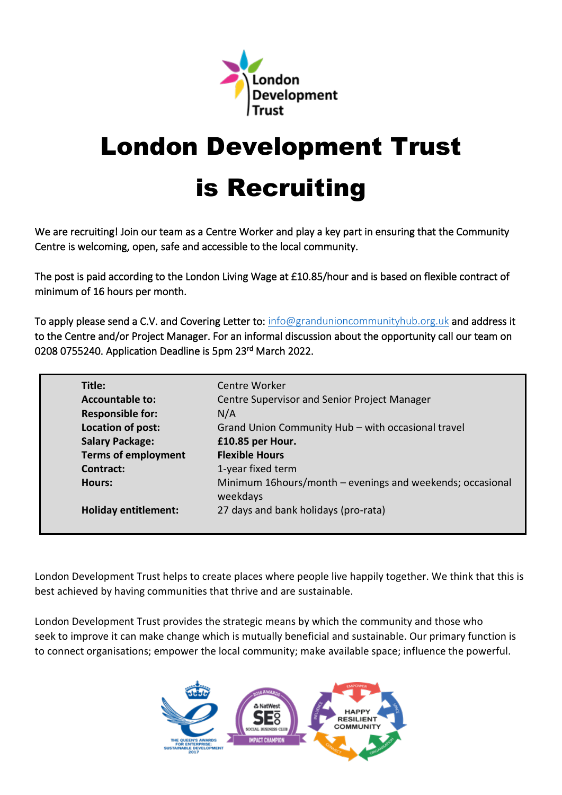

# London Development Trust

# is Recruiting

We are recruiting! Join our team as a Centre Worker and play a key part in ensuring that the Community Centre is welcoming, open, safe and accessible to the local community.

The post is paid according to the London Living Wage at £10.85/hour and is based on flexible contract of minimum of 16 hours per month.

To apply please send a C.V. and Covering Letter to: [info@grandunioncommunityhub.org.uk](mailto:info@grandunioncommunityhub.org.uk) and address it to the Centre and/or Project Manager. For an informal discussion about the opportunity call our team on 0208 0755240. Application Deadline is 5pm 23<sup>rd</sup> March 2022.

| Title:                      | Centre Worker                                                          |
|-----------------------------|------------------------------------------------------------------------|
| <b>Accountable to:</b>      | Centre Supervisor and Senior Project Manager                           |
| <b>Responsible for:</b>     | N/A                                                                    |
| Location of post:           | Grand Union Community Hub - with occasional travel                     |
| <b>Salary Package:</b>      | £10.85 per Hour.                                                       |
| <b>Terms of employment</b>  | <b>Flexible Hours</b>                                                  |
| Contract:                   | 1-year fixed term                                                      |
| <b>Hours:</b>               | Minimum 16 hours/month – evenings and weekends; occasional<br>weekdays |
| <b>Holiday entitlement:</b> | 27 days and bank holidays (pro-rata)                                   |

London Development Trust helps to create places where people live happily together. We think that this is best achieved by having communities that thrive and are sustainable.

London Development Trust provides the strategic means by which the community and those who seek to improve it can make change which is mutually beneficial and sustainable. Our primary function is to connect organisations; empower the local community; make available space; influence the powerful.

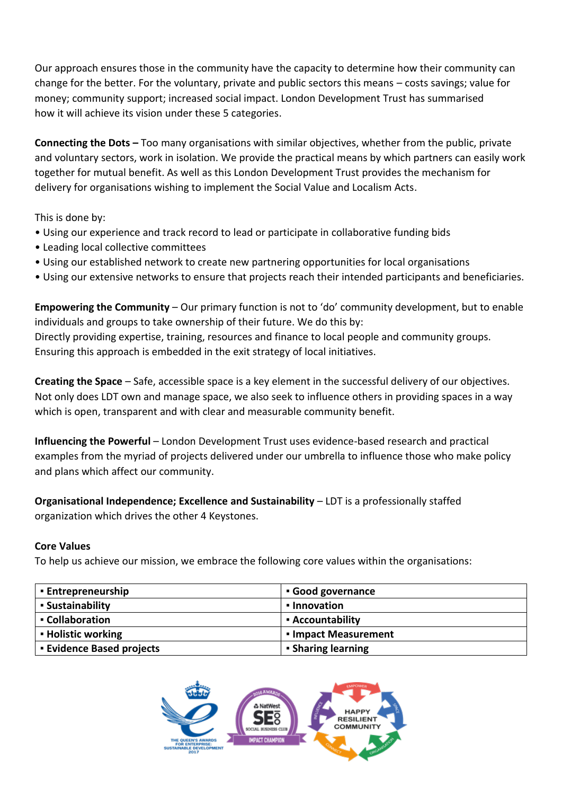Our approach ensures those in the community have the capacity to determine how their community can change for the better. For the voluntary, private and public sectors this means – costs savings; value for money; community support; increased social impact. London Development Trust has summarised how it will achieve its vision under these 5 categories.

**Connecting the Dots –** Too many organisations with similar objectives, whether from the public, private and voluntary sectors, work in isolation. We provide the practical means by which partners can easily work together for mutual benefit. As well as this London Development Trust provides the mechanism for delivery for organisations wishing to implement the Social Value and Localism Acts.

This is done by:

- Using our experience and track record to lead or participate in collaborative funding bids
- Leading local collective committees
- Using our established network to create new partnering opportunities for local organisations
- Using our extensive networks to ensure that projects reach their intended participants and beneficiaries.

**Empowering the Community** – Our primary function is not to 'do' community development, but to enable individuals and groups to take ownership of their future. We do this by: Directly providing expertise, training, resources and finance to local people and community groups. Ensuring this approach is embedded in the exit strategy of local initiatives.

**Creating the Space** – Safe, accessible space is a key element in the successful delivery of our objectives. Not only does LDT own and manage space, we also seek to influence others in providing spaces in a way which is open, transparent and with clear and measurable community benefit.

**Influencing the Powerful** – London Development Trust uses evidence-based research and practical examples from the myriad of projects delivered under our umbrella to influence those who make policy and plans which affect our community.

**Organisational Independence; Excellence and Sustainability** – LDT is a professionally staffed organization which drives the other 4 Keystones.

#### **Core Values**

To help us achieve our mission, we embrace the following core values within the organisations:

| <b>Entrepreneurship</b>        | Good governance           |
|--------------------------------|---------------------------|
| • Sustainability               | • Innovation              |
| • Collaboration                | • Accountability          |
| <b>- Holistic working</b>      | • Impact Measurement      |
| <b>Evidence Based projects</b> | <b>- Sharing learning</b> |

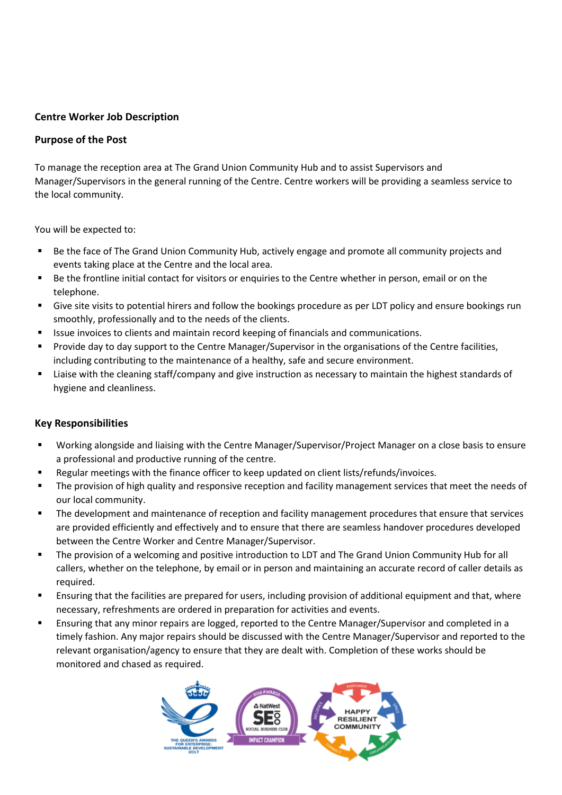# **Centre Worker Job Description**

#### **Purpose of the Post**

To manage the reception area at The Grand Union Community Hub and to assist Supervisors and Manager/Supervisors in the general running of the Centre. Centre workers will be providing a seamless service to the local community.

You will be expected to:

- Be the face of The Grand Union Community Hub, actively engage and promote all community projects and events taking place at the Centre and the local area.
- Be the frontline initial contact for visitors or enquiries to the Centre whether in person, email or on the telephone.
- Give site visits to potential hirers and follow the bookings procedure as per LDT policy and ensure bookings run smoothly, professionally and to the needs of the clients.
- Issue invoices to clients and maintain record keeping of financials and communications.
- Provide day to day support to the Centre Manager/Supervisor in the organisations of the Centre facilities, including contributing to the maintenance of a healthy, safe and secure environment.
- Liaise with the cleaning staff/company and give instruction as necessary to maintain the highest standards of hygiene and cleanliness.

#### **Key Responsibilities**

- Working alongside and liaising with the Centre Manager/Supervisor/Project Manager on a close basis to ensure a professional and productive running of the centre.
- Regular meetings with the finance officer to keep updated on client lists/refunds/invoices.
- **■** The provision of high quality and responsive reception and facility management services that meet the needs of our local community.
- The development and maintenance of reception and facility management procedures that ensure that services are provided efficiently and effectively and to ensure that there are seamless handover procedures developed between the Centre Worker and Centre Manager/Supervisor.
- The provision of a welcoming and positive introduction to LDT and The Grand Union Community Hub for all callers, whether on the telephone, by email or in person and maintaining an accurate record of caller details as required.
- Ensuring that the facilities are prepared for users, including provision of additional equipment and that, where necessary, refreshments are ordered in preparation for activities and events.
- Ensuring that any minor repairs are logged, reported to the Centre Manager/Supervisor and completed in a timely fashion. Any major repairs should be discussed with the Centre Manager/Supervisor and reported to the relevant organisation/agency to ensure that they are dealt with. Completion of these works should be monitored and chased as required.

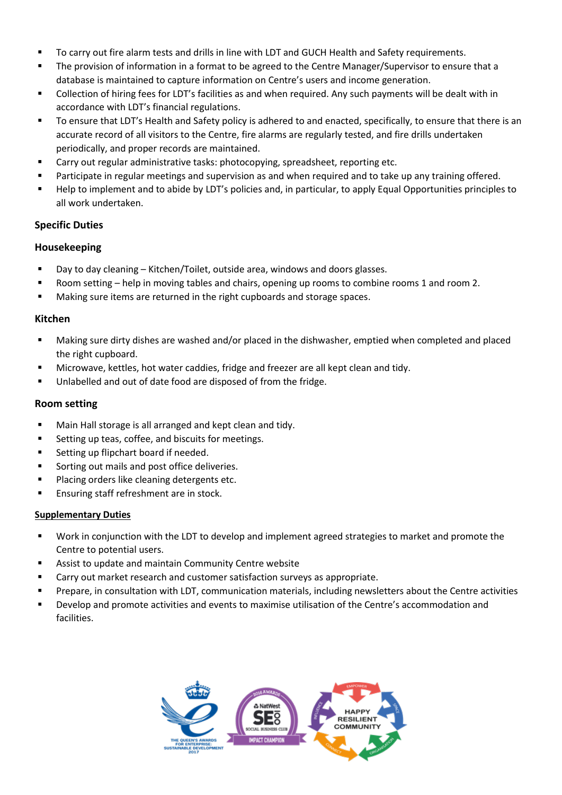- To carry out fire alarm tests and drills in line with LDT and GUCH Health and Safety requirements.
- **■** The provision of information in a format to be agreed to the Centre Manager/Supervisor to ensure that a database is maintained to capture information on Centre's users and income generation.
- Collection of hiring fees for LDT's facilities as and when required. Any such payments will be dealt with in accordance with LDT's financial regulations.
- To ensure that LDT's Health and Safety policy is adhered to and enacted, specifically, to ensure that there is an accurate record of all visitors to the Centre, fire alarms are regularly tested, and fire drills undertaken periodically, and proper records are maintained.
- Carry out regular administrative tasks: photocopying, spreadsheet, reporting etc.
- **■** Participate in regular meetings and supervision as and when required and to take up any training offered.
- Help to implement and to abide by LDT's policies and, in particular, to apply Equal Opportunities principles to all work undertaken.

## **Specific Duties**

#### **Housekeeping**

- Day to day cleaning Kitchen/Toilet, outside area, windows and doors glasses.
- Room setting help in moving tables and chairs, opening up rooms to combine rooms 1 and room 2.
- Making sure items are returned in the right cupboards and storage spaces.

## **Kitchen**

- Making sure dirty dishes are washed and/or placed in the dishwasher, emptied when completed and placed the right cupboard.
- Microwave, kettles, hot water caddies, fridge and freezer are all kept clean and tidy.
- Unlabelled and out of date food are disposed of from the fridge.

#### **Room setting**

- Main Hall storage is all arranged and kept clean and tidy.
- Setting up teas, coffee, and biscuits for meetings.
- Setting up flipchart board if needed.
- Sorting out mails and post office deliveries.
- Placing orders like cleaning detergents etc.
- **Ensuring staff refreshment are in stock.**

#### **Supplementary Duties**

- Work in conjunction with the LDT to develop and implement agreed strategies to market and promote the Centre to potential users.
- Assist to update and maintain Community Centre website
- Carry out market research and customer satisfaction surveys as appropriate.
- Prepare, in consultation with LDT, communication materials, including newsletters about the Centre activities
- Develop and promote activities and events to maximise utilisation of the Centre's accommodation and facilities.